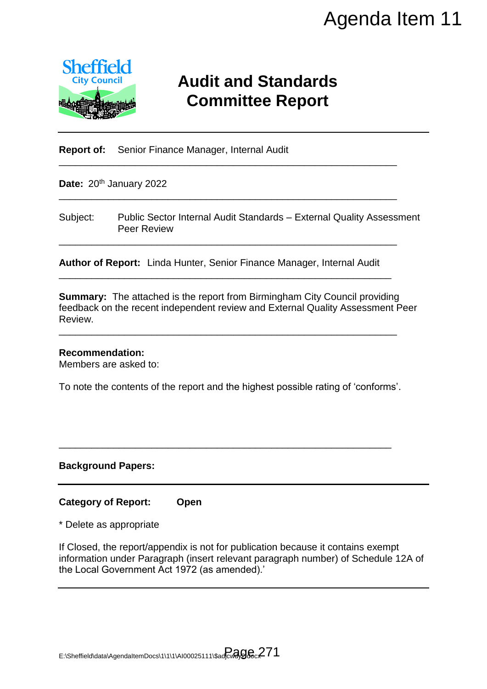

# **Audit and Standards Committee Report**

**Report of:** Senior Finance Manager, Internal Audit

Date: 20<sup>th</sup> January 2022

Subject: Public Sector Internal Audit Standards – External Quality Assessment Peer Review

\_\_\_\_\_\_\_\_\_\_\_\_\_\_\_\_\_\_\_\_\_\_\_\_\_\_\_\_\_\_\_\_\_\_\_\_\_\_\_\_\_\_\_\_\_\_\_\_\_\_\_\_\_\_\_\_\_\_\_\_\_\_

\_\_\_\_\_\_\_\_\_\_\_\_\_\_\_\_\_\_\_\_\_\_\_\_\_\_\_\_\_\_\_\_\_\_\_\_\_\_\_\_\_\_\_\_\_\_\_\_\_\_\_\_\_\_\_\_\_\_\_\_\_\_

\_\_\_\_\_\_\_\_\_\_\_\_\_\_\_\_\_\_\_\_\_\_\_\_\_\_\_\_\_\_\_\_\_\_\_\_\_\_\_\_\_\_\_\_\_\_\_\_\_\_\_\_\_\_\_\_\_\_\_\_\_\_

**Author of Report:** Linda Hunter, Senior Finance Manager, Internal Audit \_\_\_\_\_\_\_\_\_\_\_\_\_\_\_\_\_\_\_\_\_\_\_\_\_\_\_\_\_\_\_\_\_\_\_\_\_\_\_\_\_\_\_\_\_\_\_\_\_\_\_\_\_\_\_\_\_\_\_\_\_

**Summary:** The attached is the report from Birmingham City Council providing feedback on the recent independent review and External Quality Assessment Peer Review.

#### **Recommendation:**

Members are asked to:

To note the contents of the report and the highest possible rating of 'conforms'.

\_\_\_\_\_\_\_\_\_\_\_\_\_\_\_\_\_\_\_\_\_\_\_\_\_\_\_\_\_\_\_\_\_\_\_\_\_\_\_\_\_\_\_\_\_\_\_\_\_\_\_\_\_\_\_\_\_\_\_\_\_

\_\_\_\_\_\_\_\_\_\_\_\_\_\_\_\_\_\_\_\_\_\_\_\_\_\_\_\_\_\_\_\_\_\_\_\_\_\_\_\_\_\_\_\_\_\_\_\_\_\_\_\_\_\_\_\_\_\_\_\_\_\_

#### **Background Papers:**

### **Category of Report: Open**

\* Delete as appropriate

If Closed, the report/appendix is not for publication because it contains exempt information under Paragraph (insert relevant paragraph number) of Schedule 12A of the Local Government Act 1972 (as amended).' Agenda Item 11<br>
and Standards<br>
mittee Report<br>
Finance Manager, Internal Quality Assessment<br>
Agent Standards – External Quality Assessment<br>
If Finance Manager, Internal Audit<br>
Trom Birmingham City Council providing<br>
the hig